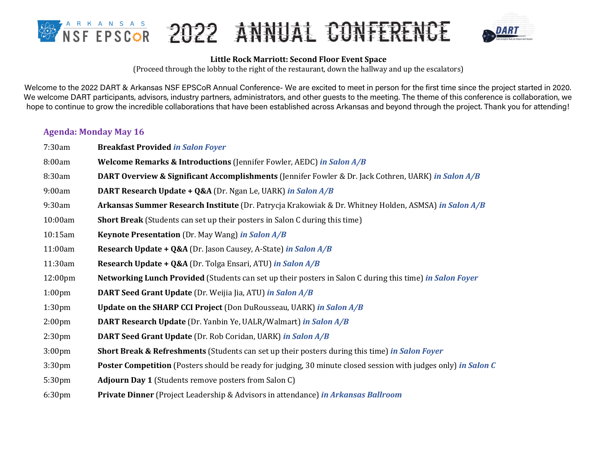



#### Little Rock Marriott: Second Floor Event Space

(Proceed through the lobby to the right of the restaurant, down the hallway and up the escalators)

Welcome to the 2022 DART & Arkansas NSF EPSCoR Annual Conference- We are excited to meet in person for the first time since the project started in 2020. We welcome DART participants, advisors, industry partners, administrators, and other quests to the meeting. The theme of this conference is collaboration, we hope to continue to grow the incredible collaborations that have been established across Arkansas and beyond through the project. Thank you for attending!

## **Agenda: Monday May 16**

7:30am **Breakfast Provided** *in Salon Foyer* 8:00am **Welcome Remarks & Introductions** (Jennifer Fowler, AEDC) in Salon A/B 8:30am **DART Overview & Significant Accomplishments** (Jennifer Fowler & Dr. Jack Cothren, UARK) *in Salon A/B* 9:00am **DART Research Update + Q&A** (Dr. Ngan Le, UARK) *in Salon A/B* 9:30am **Arkansas Summer Research Institute** (Dr. Patrycja Krakowiak & Dr. Whitney Holden, ASMSA) *in Salon A/B* 10:00am **Short Break** (Students can set up their posters in Salon C during this time) 10:15am **Keynote Presentation** (Dr. May Wang) in Salon A/B 11:00am **Research Update + Q&A** (Dr. Jason Causey, A-State) in Salon A/B 11:30am **Research Update + Q&A** (Dr. Tolga Ensari, ATU) *in Salon A/B* 12:00pm **Networking Lunch Provided** (Students can set up their posters in Salon C during this time) *in Salon Foyer* 1:00pm **DART Seed Grant Update** (Dr. Weijia Jia, ATU) *in Salon A/B* 1:30pm **Update on the SHARP CCI Project** (Don DuRousseau, UARK) *in Salon A/B* 2:00pm **DART Research Update** (Dr. Yanbin Ye, UALR/Walmart) *in Salon A/B* 2:30pm **DART Seed Grant Update** (Dr. Rob Coridan, UARK) *in Salon A/B* 3:00pm **Short Break & Refreshments** (Students can set up their posters during this time) *in Salon Foyer* 3:30pm **Poster Competition** (Posters should be ready for judging, 30 minute closed session with judges only) *in Salon C* 5:30pm **Adjourn Day 1** (Students remove posters from Salon C) 6:30pm **Private Dinner** (Project Leadership & Advisors in attendance) *in Arkansas Ballroom*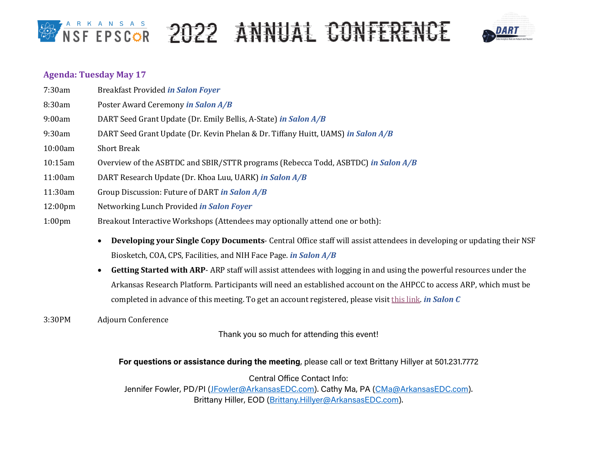## **BARKANSAS 2022 ANNUAL CONFERENCE**



## **Agenda: Tuesday May 17**

| 7:30am             | <b>Breakfast Provided in Salon Foyer</b>                                                                              |
|--------------------|-----------------------------------------------------------------------------------------------------------------------|
| 8:30am             | Poster Award Ceremony in Salon A/B                                                                                    |
| 9:00am             | DART Seed Grant Update (Dr. Emily Bellis, A-State) in Salon A/B                                                       |
| 9:30am             | DART Seed Grant Update (Dr. Kevin Phelan & Dr. Tiffany Huitt, UAMS) in Salon A/B                                      |
| 10:00am            | <b>Short Break</b>                                                                                                    |
| 10:15am            | Overview of the ASBTDC and SBIR/STTR programs (Rebecca Todd, ASBTDC) in Salon A/B                                     |
| 11:00am            | DART Research Update (Dr. Khoa Luu, UARK) in Salon A/B                                                                |
| 11:30am            | Group Discussion: Future of DART in Salon A/B                                                                         |
| 12:00pm            | Networking Lunch Provided <i>in Salon Foyer</i>                                                                       |
| 1:00 <sub>pm</sub> | Breakout Interactive Workshops (Attendees may optionally attend one or both):                                         |
|                    | <b>Developing your Single Copy Documents-</b> Central Office staff will assist attendees in developing o<br>$\bullet$ |

- Developing your Single Copy Documents- Central Office staff will assist attendees in developing or updating their NSF Biosketch, COA, CPS, Facilities, and NIH Face Page. *in Salon A/B*
- Getting Started with ARP- ARP staff will assist attendees with logging in and using the powerful resources under the Arkansas Research Platform. Participants will need an established account on the AHPCC to access ARP, which must be completed in advance of this meeting. To get an account registered, please visit this link. *in Salon C*
- 3:30PM Adjourn Conference

Thank you so much for attending this event!

## **For questions or assistance during the meeting**, please call or text Brittany Hillyer at 501.231.7772

Central Office Contact Info: Jennifer Fowler, PD/PI (JFowler@ArkansasEDC.com). Cathy Ma, PA (CMa@ArkansasEDC.com). Brittany Hiller, EOD (Brittany.Hillyer@ArkansasEDC.com).